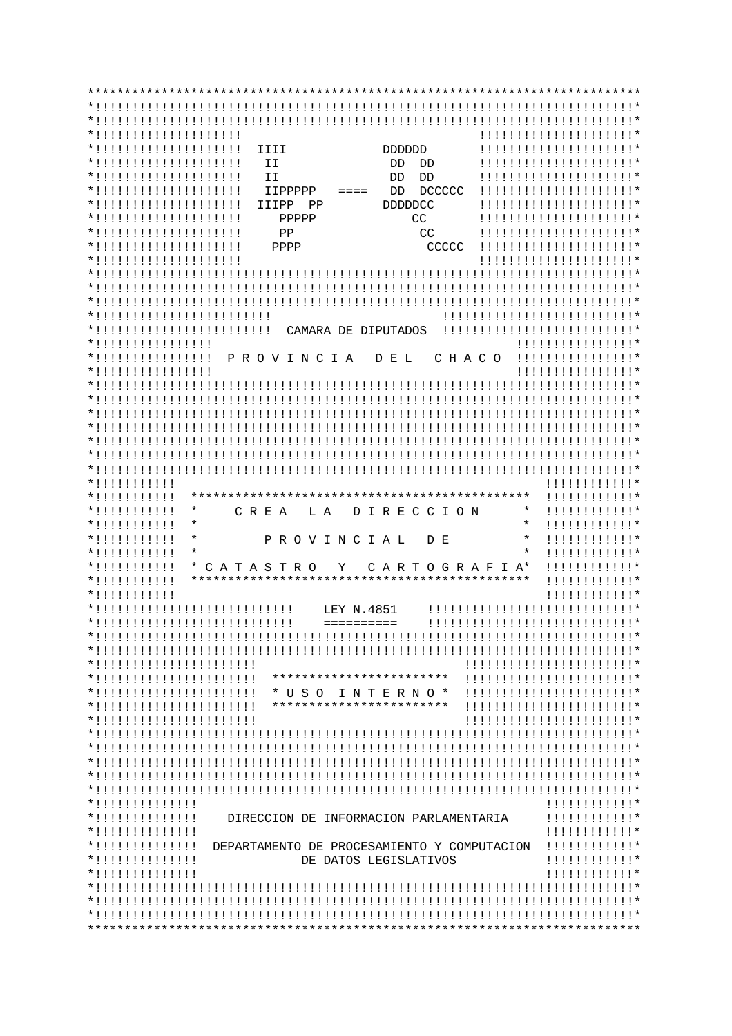| *!!!!!!!!!!!!!!!!!!!!!         |                           |                                             | !!!!!!!!!!!!!!!!!!!!!!          |
|--------------------------------|---------------------------|---------------------------------------------|---------------------------------|
| *!!!!!!!!!!!!!!!!!!!!!         | IIII                      | <b>DDDDDDD</b>                              | !!!!!!!!!!!!!!!!!!!!!!          |
| *!!!!!!!!!!!!!!!!!!!!!         | II                        | DD.<br>DD                                   | !!!!!!!!!!!!!!!!!!!!!!*         |
|                                | II                        | DD                                          |                                 |
| *!!!!!!!!!!!!!!!!!!!!!         |                           | DD                                          | !!!!!!!!!!!!!!!!!!!!!!!*        |
| *!!!!!!!!!!!!!!!!!!!!!         | <b>IIPPPPP</b>            | <b>DCCCCC</b><br>DD<br>$== == =$            | !!!!!!!!!!!!!!!!!!!!!!          |
| *!!!!!!!!!!!!!!!!!!!!!         | IIIPP<br>PP               | <b>DDDDDCC</b>                              | !!!!!!!!!!!!!!!!!!!!!!          |
| *!!!!!!!!!!!!!!!!!!!!!         | PPPPP                     | CC                                          | !!!!!!!!!!!!!!!!!!!!!!          |
| *!!!!!!!!!!!!!!!!!!!!          | PP                        | CC                                          | !!!!!!!!!!!!!!!!!!!!!!          |
| *!!!!!!!!!!!!!!!!!!!!!         | PPPP                      | CCCCC                                       | !!!!!!!!!!!!!!!!!!!!!!          |
| *!!!!!!!!!!!!!!!!!!!!!         |                           |                                             | !!!!!!!!!!!!!!!!!!!!!!          |
|                                |                           |                                             |                                 |
|                                |                           |                                             |                                 |
|                                |                           |                                             |                                 |
| *!!!!!!!!!!!!!!!!!!!!!!!!!!    |                           |                                             | !!!!!!!!!!!!!!!!!!!!!!!!!!!!    |
| *!!!!!!!!!!!!!!!!!!!!!!!!!!    |                           | CAMARA DE DIPUTADOS                         | !!!!!!!!!!!!!!!!!!!!!!!!!!!!!   |
| *!!!!!!!!!!!!!!!!!             |                           |                                             | !!!!!!!!!!!!!!!!!               |
| *!!!!!!!!!!!!!!!!              | PROVINCIA                 | D E L<br>C H A C O                          | !!!!!!!!!!!!!!!!!               |
| *!!!!!!!!!!!!!!!!              |                           |                                             | !!!!!!!!!!!!!!!!!*              |
|                                |                           |                                             |                                 |
|                                |                           |                                             |                                 |
|                                |                           |                                             |                                 |
|                                |                           |                                             |                                 |
|                                |                           |                                             |                                 |
|                                |                           |                                             |                                 |
|                                |                           |                                             |                                 |
|                                |                           |                                             |                                 |
|                                |                           |                                             | !!!!!!!!!!!!*                   |
|                                |                           |                                             | !!!!!!!!!!!!*                   |
| *!!!!!!!!!!!                   | $\star$<br>C R E A<br>L A | D I R E C C I O N                           | $^\star$<br>!!!!!!!!!!!!*       |
|                                | $\star$                   |                                             | $^\star$<br>!!!!!!!!!!!!*       |
|                                | $\ast$                    | PROVINCIAL<br>D E                           | $^\star$<br>$111111111111*$     |
|                                | $\star$                   |                                             | $^\star$<br>!!!!!!!!!!!!*       |
|                                | CATASTRO                  | Y<br>CARTOGRAFIA*                           | $111111111111*$                 |
| *!!!!!!!!!!!                   |                           |                                             | !!!!!!!!!!!!*                   |
|                                |                           |                                             | !!!!!!!!!!!!*                   |
| *!!!!!!!!!!!!!!!!!!!!!!!!!!!!! |                           | LEY N.4851                                  | !!!!!!!!!!!!!!!!!!!!!!!!!!!!!!* |
| *!!!!!!!!!!!!!!!!!!!!!!!!!!!!! |                           | $=$ = = = = = = = = =                       | !!!!!!!!!!!!!!!!!!!!!!!!!!!!!!  |
|                                |                           |                                             |                                 |
|                                |                           |                                             |                                 |
| *!!!!!!!!!!!!!!!!!!!!!!!       |                           |                                             | !!!!!!!!!!!!!!!!!!!!!!!!!*      |
| *!!!!!!!!!!!!!!!!!!!!!!!       |                           | ************************                    | !!!!!!!!!!!!!!!!!!!!!!!!        |
| *!!!!!!!!!!!!!!!!!!!!!!!       |                           | * U S O I N T E R N O *                     | !!!!!!!!!!!!!!!!!!!!!!!!!       |
| *!!!!!!!!!!!!!!!!!!!!!!!       |                           | ************************                    | !!!!!!!!!!!!!!!!!!!!!!!!!*      |
| *!!!!!!!!!!!!!!!!!!!!!!!!      |                           |                                             | !!!!!!!!!!!!!!!!!!!!!!!!        |
|                                |                           |                                             |                                 |
|                                |                           |                                             |                                 |
|                                |                           |                                             |                                 |
|                                |                           |                                             |                                 |
|                                |                           |                                             |                                 |
|                                |                           |                                             |                                 |
| *!!!!!!!!!!!!!!                |                           |                                             | 1!1!1!1!1!1!1!                  |
| *!!!!!!!!!!!!!!                |                           | DIRECCION DE INFORMACION PARLAMENTARIA      | 1!1!1!1!1!1!1!                  |
| *!!!!!!!!!!!!!!                |                           |                                             | 1!1!1!1!1!1!1!                  |
| *!!!!!!!!!!!!!!                |                           | DEPARTAMENTO DE PROCESAMIENTO Y COMPUTACION | 1!1!1!1!1!1!1!                  |
|                                |                           | DE DATOS LEGISLATIVOS                       | 1!1!1!1!1!1!1!                  |
|                                |                           |                                             | 1!1!1!1!1!1!1!                  |
|                                |                           |                                             |                                 |
|                                |                           |                                             |                                 |
|                                |                           |                                             |                                 |
|                                |                           |                                             |                                 |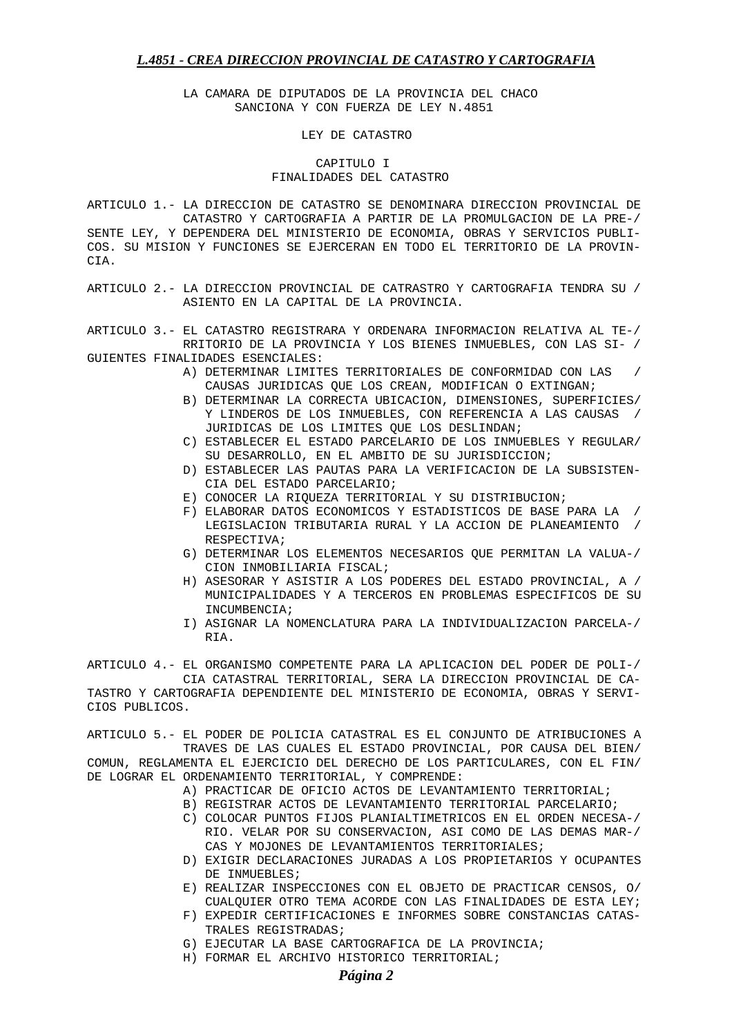LA CAMARA DE DIPUTADOS DE LA PROVINCIA DEL CHACO SANCIONA Y CON FUERZA DE LEY N.4851

LEY DE CATASTRO

### CAPITULO I FINALIDADES DEL CATASTRO

ARTICULO 1.- LA DIRECCION DE CATASTRO SE DENOMINARA DIRECCION PROVINCIAL DE CATASTRO Y CARTOGRAFIA A PARTIR DE LA PROMULGACION DE LA PRE-/ SENTE LEY, Y DEPENDERA DEL MINISTERIO DE ECONOMIA, OBRAS Y SERVICIOS PUBLI-COS. SU MISION Y FUNCIONES SE EJERCERAN EN TODO EL TERRITORIO DE LA PROVIN-CIA.

ARTICULO 2.- LA DIRECCION PROVINCIAL DE CATRASTRO Y CARTOGRAFIA TENDRA SU / ASIENTO EN LA CAPITAL DE LA PROVINCIA.

ARTICULO 3.- EL CATASTRO REGISTRARA Y ORDENARA INFORMACION RELATIVA AL TE-/ RRITORIO DE LA PROVINCIA Y LOS BIENES INMUEBLES, CON LAS SI- / GUIENTES FINALIDADES ESENCIALES:

- A) DETERMINAR LIMITES TERRITORIALES DE CONFORMIDAD CON LAS / CAUSAS JURIDICAS QUE LOS CREAN, MODIFICAN O EXTINGAN;
- B) DETERMINAR LA CORRECTA UBICACION, DIMENSIONES, SUPERFICIES/ Y LINDEROS DE LOS INMUEBLES, CON REFERENCIA A LAS CAUSAS / JURIDICAS DE LOS LIMITES QUE LOS DESLINDAN;
- C) ESTABLECER EL ESTADO PARCELARIO DE LOS INMUEBLES Y REGULAR/ SU DESARROLLO, EN EL AMBITO DE SU JURISDICCION;
- D) ESTABLECER LAS PAUTAS PARA LA VERIFICACION DE LA SUBSISTEN- CIA DEL ESTADO PARCELARIO;
- E) CONOCER LA RIQUEZA TERRITORIAL Y SU DISTRIBUCION;
- F) ELABORAR DATOS ECONOMICOS Y ESTADISTICOS DE BASE PARA LA / LEGISLACION TRIBUTARIA RURAL Y LA ACCION DE PLANEAMIENTO / RESPECTIVA;
- G) DETERMINAR LOS ELEMENTOS NECESARIOS QUE PERMITAN LA VALUA-/ CION INMOBILIARIA FISCAL;
- H) ASESORAR Y ASISTIR A LOS PODERES DEL ESTADO PROVINCIAL, A / MUNICIPALIDADES Y A TERCEROS EN PROBLEMAS ESPECIFICOS DE SU INCUMBENCIA;
- I) ASIGNAR LA NOMENCLATURA PARA LA INDIVIDUALIZACION PARCELA-/ RIA.

ARTICULO 4.- EL ORGANISMO COMPETENTE PARA LA APLICACION DEL PODER DE POLI-/ CIA CATASTRAL TERRITORIAL, SERA LA DIRECCION PROVINCIAL DE CA-TASTRO Y CARTOGRAFIA DEPENDIENTE DEL MINISTERIO DE ECONOMIA, OBRAS Y SERVI-CIOS PUBLICOS.

ARTICULO 5.- EL PODER DE POLICIA CATASTRAL ES EL CONJUNTO DE ATRIBUCIONES A TRAVES DE LAS CUALES EL ESTADO PROVINCIAL, POR CAUSA DEL BIEN/ COMUN, REGLAMENTA EL EJERCICIO DEL DERECHO DE LOS PARTICULARES, CON EL FIN/ DE LOGRAR EL ORDENAMIENTO TERRITORIAL, Y COMPRENDE:

- A) PRACTICAR DE OFICIO ACTOS DE LEVANTAMIENTO TERRITORIAL;
- B) REGISTRAR ACTOS DE LEVANTAMIENTO TERRITORIAL PARCELARIO;
- C) COLOCAR PUNTOS FIJOS PLANIALTIMETRICOS EN EL ORDEN NECESA-/ RIO. VELAR POR SU CONSERVACION, ASI COMO DE LAS DEMAS MAR-/ CAS Y MOJONES DE LEVANTAMIENTOS TERRITORIALES;
- D) EXIGIR DECLARACIONES JURADAS A LOS PROPIETARIOS Y OCUPANTES DE INMUEBLES;
- E) REALIZAR INSPECCIONES CON EL OBJETO DE PRACTICAR CENSOS, O/ CUALQUIER OTRO TEMA ACORDE CON LAS FINALIDADES DE ESTA LEY;
- F) EXPEDIR CERTIFICACIONES E INFORMES SOBRE CONSTANCIAS CATAS- TRALES REGISTRADAS;
- G) EJECUTAR LA BASE CARTOGRAFICA DE LA PROVINCIA;
- H) FORMAR EL ARCHIVO HISTORICO TERRITORIAL;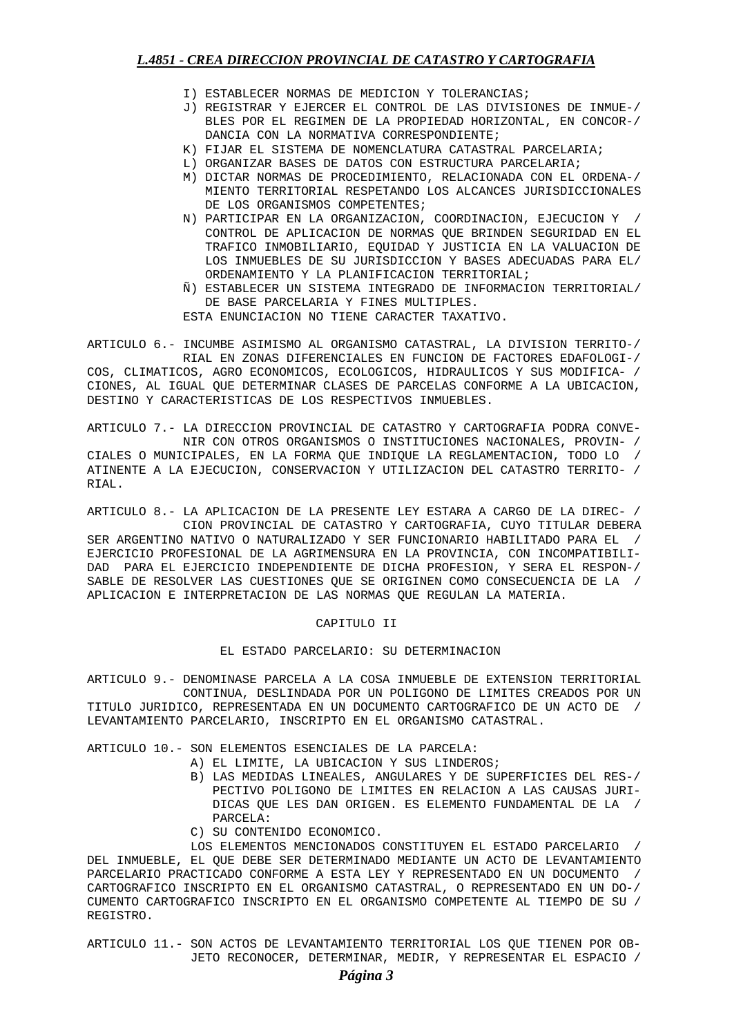- I) ESTABLECER NORMAS DE MEDICION Y TOLERANCIAS;
- J) REGISTRAR Y EJERCER EL CONTROL DE LAS DIVISIONES DE INMUE-/ BLES POR EL REGIMEN DE LA PROPIEDAD HORIZONTAL, EN CONCOR-/ DANCIA CON LA NORMATIVA CORRESPONDIENTE;
- K) FIJAR EL SISTEMA DE NOMENCLATURA CATASTRAL PARCELARIA;
- L) ORGANIZAR BASES DE DATOS CON ESTRUCTURA PARCELARIA;
- M) DICTAR NORMAS DE PROCEDIMIENTO, RELACIONADA CON EL ORDENA-/ MIENTO TERRITORIAL RESPETANDO LOS ALCANCES JURISDICCIONALES DE LOS ORGANISMOS COMPETENTES;
- N) PARTICIPAR EN LA ORGANIZACION, COORDINACION, EJECUCION Y / CONTROL DE APLICACION DE NORMAS QUE BRINDEN SEGURIDAD EN EL TRAFICO INMOBILIARIO, EQUIDAD Y JUSTICIA EN LA VALUACION DE LOS INMUEBLES DE SU JURISDICCION Y BASES ADECUADAS PARA EL/ ORDENAMIENTO Y LA PLANIFICACION TERRITORIAL;
- Ñ) ESTABLECER UN SISTEMA INTEGRADO DE INFORMACION TERRITORIAL/ DE BASE PARCELARIA Y FINES MULTIPLES.

ESTA ENUNCIACION NO TIENE CARACTER TAXATIVO.

ARTICULO 6.- INCUMBE ASIMISMO AL ORGANISMO CATASTRAL, LA DIVISION TERRITO-/ RIAL EN ZONAS DIFERENCIALES EN FUNCION DE FACTORES EDAFOLOGI-/ COS, CLIMATICOS, AGRO ECONOMICOS, ECOLOGICOS, HIDRAULICOS Y SUS MODIFICA- / CIONES, AL IGUAL QUE DETERMINAR CLASES DE PARCELAS CONFORME A LA UBICACION, DESTINO Y CARACTERISTICAS DE LOS RESPECTIVOS INMUEBLES.

ARTICULO 7.- LA DIRECCION PROVINCIAL DE CATASTRO Y CARTOGRAFIA PODRA CONVE- NIR CON OTROS ORGANISMOS O INSTITUCIONES NACIONALES, PROVIN- / CIALES O MUNICIPALES, EN LA FORMA QUE INDIQUE LA REGLAMENTACION, TODO LO / ATINENTE A LA EJECUCION, CONSERVACION Y UTILIZACION DEL CATASTRO TERRITO- / RIAL.

ARTICULO 8.- LA APLICACION DE LA PRESENTE LEY ESTARA A CARGO DE LA DIREC- / CION PROVINCIAL DE CATASTRO Y CARTOGRAFIA, CUYO TITULAR DEBERA SER ARGENTINO NATIVO O NATURALIZADO Y SER FUNCIONARIO HABILITADO PARA EL / EJERCICIO PROFESIONAL DE LA AGRIMENSURA EN LA PROVINCIA, CON INCOMPATIBILI-DAD PARA EL EJERCICIO INDEPENDIENTE DE DICHA PROFESION, Y SERA EL RESPON-/ SABLE DE RESOLVER LAS CUESTIONES QUE SE ORIGINEN COMO CONSECUENCIA DE LA / APLICACION E INTERPRETACION DE LAS NORMAS QUE REGULAN LA MATERIA.

#### CAPITULO II

## EL ESTADO PARCELARIO: SU DETERMINACION

ARTICULO 9.- DENOMINASE PARCELA A LA COSA INMUEBLE DE EXTENSION TERRITORIAL CONTINUA, DESLINDADA POR UN POLIGONO DE LIMITES CREADOS POR UN TITULO JURIDICO, REPRESENTADA EN UN DOCUMENTO CARTOGRAFICO DE UN ACTO DE / LEVANTAMIENTO PARCELARIO, INSCRIPTO EN EL ORGANISMO CATASTRAL.

## ARTICULO 10.- SON ELEMENTOS ESENCIALES DE LA PARCELA:

- A) EL LIMITE, LA UBICACION Y SUS LINDEROS;
- B) LAS MEDIDAS LINEALES, ANGULARES Y DE SUPERFICIES DEL RES-/ PECTIVO POLIGONO DE LIMITES EN RELACION A LAS CAUSAS JURI-DICAS QUE LES DAN ORIGEN. ES ELEMENTO FUNDAMENTAL DE LA / PARCELA:
- C) SU CONTENIDO ECONOMICO.

 LOS ELEMENTOS MENCIONADOS CONSTITUYEN EL ESTADO PARCELARIO / DEL INMUEBLE, EL QUE DEBE SER DETERMINADO MEDIANTE UN ACTO DE LEVANTAMIENTO PARCELARIO PRACTICADO CONFORME A ESTA LEY Y REPRESENTADO EN UN DOCUMENTO / CARTOGRAFICO INSCRIPTO EN EL ORGANISMO CATASTRAL, O REPRESENTADO EN UN DO-/ CUMENTO CARTOGRAFICO INSCRIPTO EN EL ORGANISMO COMPETENTE AL TIEMPO DE SU / REGISTRO.

ARTICULO 11.- SON ACTOS DE LEVANTAMIENTO TERRITORIAL LOS QUE TIENEN POR OB- JETO RECONOCER, DETERMINAR, MEDIR, Y REPRESENTAR EL ESPACIO /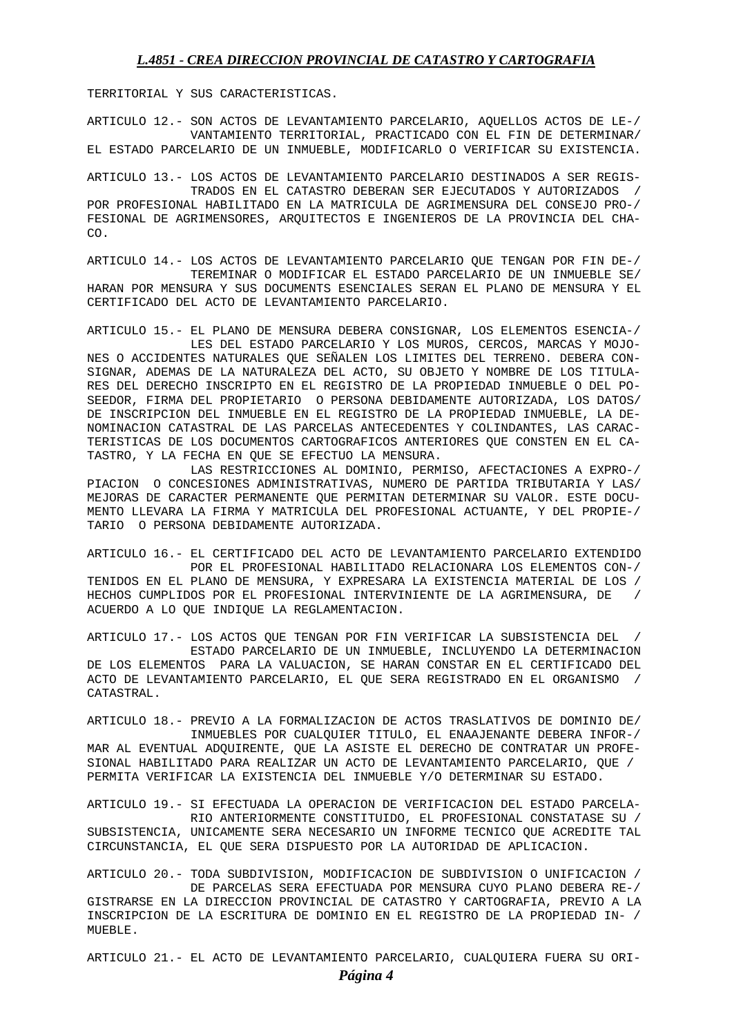TERRITORIAL Y SUS CARACTERISTICAS.

ARTICULO 12.- SON ACTOS DE LEVANTAMIENTO PARCELARIO, AQUELLOS ACTOS DE LE-/ VANTAMIENTO TERRITORIAL, PRACTICADO CON EL FIN DE DETERMINAR/ EL ESTADO PARCELARIO DE UN INMUEBLE, MODIFICARLO O VERIFICAR SU EXISTENCIA.

ARTICULO 13.- LOS ACTOS DE LEVANTAMIENTO PARCELARIO DESTINADOS A SER REGIS- TRADOS EN EL CATASTRO DEBERAN SER EJECUTADOS Y AUTORIZADOS / POR PROFESIONAL HABILITADO EN LA MATRICULA DE AGRIMENSURA DEL CONSEJO PRO-/ FESIONAL DE AGRIMENSORES, ARQUITECTOS E INGENIEROS DE LA PROVINCIA DEL CHA- $CO<sub>2</sub>$ 

ARTICULO 14.- LOS ACTOS DE LEVANTAMIENTO PARCELARIO QUE TENGAN POR FIN DE-/ TEREMINAR O MODIFICAR EL ESTADO PARCELARIO DE UN INMUEBLE SE/ HARAN POR MENSURA Y SUS DOCUMENTS ESENCIALES SERAN EL PLANO DE MENSURA Y EL CERTIFICADO DEL ACTO DE LEVANTAMIENTO PARCELARIO.

ARTICULO 15.- EL PLANO DE MENSURA DEBERA CONSIGNAR, LOS ELEMENTOS ESENCIA-/ LES DEL ESTADO PARCELARIO Y LOS MUROS, CERCOS, MARCAS Y MOJO-NES O ACCIDENTES NATURALES QUE SEÑALEN LOS LIMITES DEL TERRENO. DEBERA CON-SIGNAR, ADEMAS DE LA NATURALEZA DEL ACTO, SU OBJETO Y NOMBRE DE LOS TITULA-RES DEL DERECHO INSCRIPTO EN EL REGISTRO DE LA PROPIEDAD INMUEBLE O DEL PO-SEEDOR, FIRMA DEL PROPIETARIO O PERSONA DEBIDAMENTE AUTORIZADA, LOS DATOS/ DE INSCRIPCION DEL INMUEBLE EN EL REGISTRO DE LA PROPIEDAD INMUEBLE, LA DE-NOMINACION CATASTRAL DE LAS PARCELAS ANTECEDENTES Y COLINDANTES, LAS CARAC-TERISTICAS DE LOS DOCUMENTOS CARTOGRAFICOS ANTERIORES QUE CONSTEN EN EL CA-TASTRO, Y LA FECHA EN QUE SE EFECTUO LA MENSURA.

 LAS RESTRICCIONES AL DOMINIO, PERMISO, AFECTACIONES A EXPRO-/ PIACION O CONCESIONES ADMINISTRATIVAS, NUMERO DE PARTIDA TRIBUTARIA Y LAS/ MEJORAS DE CARACTER PERMANENTE QUE PERMITAN DETERMINAR SU VALOR. ESTE DOCU-MENTO LLEVARA LA FIRMA Y MATRICULA DEL PROFESIONAL ACTUANTE, Y DEL PROPIE-/ TARIO O PERSONA DEBIDAMENTE AUTORIZADA.

ARTICULO 16.- EL CERTIFICADO DEL ACTO DE LEVANTAMIENTO PARCELARIO EXTENDIDO POR EL PROFESIONAL HABILITADO RELACIONARA LOS ELEMENTOS CON-/ TENIDOS EN EL PLANO DE MENSURA, Y EXPRESARA LA EXISTENCIA MATERIAL DE LOS / HECHOS CUMPLIDOS POR EL PROFESIONAL INTERVINIENTE DE LA AGRIMENSURA, DE / ACUERDO A LO QUE INDIQUE LA REGLAMENTACION.

ARTICULO 17.- LOS ACTOS QUE TENGAN POR FIN VERIFICAR LA SUBSISTENCIA DEL / ESTADO PARCELARIO DE UN INMUEBLE, INCLUYENDO LA DETERMINACION DE LOS ELEMENTOS PARA LA VALUACION, SE HARAN CONSTAR EN EL CERTIFICADO DEL ACTO DE LEVANTAMIENTO PARCELARIO, EL QUE SERA REGISTRADO EN EL ORGANISMO / CATASTRAL.

ARTICULO 18.- PREVIO A LA FORMALIZACION DE ACTOS TRASLATIVOS DE DOMINIO DE/ INMUEBLES POR CUALQUIER TITULO, EL ENAAJENANTE DEBERA INFOR-/ MAR AL EVENTUAL ADQUIRENTE, QUE LA ASISTE EL DERECHO DE CONTRATAR UN PROFE-SIONAL HABILITADO PARA REALIZAR UN ACTO DE LEVANTAMIENTO PARCELARIO, QUE / PERMITA VERIFICAR LA EXISTENCIA DEL INMUEBLE Y/O DETERMINAR SU ESTADO.

ARTICULO 19.- SI EFECTUADA LA OPERACION DE VERIFICACION DEL ESTADO PARCELA- RIO ANTERIORMENTE CONSTITUIDO, EL PROFESIONAL CONSTATASE SU / SUBSISTENCIA, UNICAMENTE SERA NECESARIO UN INFORME TECNICO QUE ACREDITE TAL CIRCUNSTANCIA, EL QUE SERA DISPUESTO POR LA AUTORIDAD DE APLICACION.

ARTICULO 20.- TODA SUBDIVISION, MODIFICACION DE SUBDIVISION O UNIFICACION / DE PARCELAS SERA EFECTUADA POR MENSURA CUYO PLANO DEBERA RE-/ GISTRARSE EN LA DIRECCION PROVINCIAL DE CATASTRO Y CARTOGRAFIA, PREVIO A LA INSCRIPCION DE LA ESCRITURA DE DOMINIO EN EL REGISTRO DE LA PROPIEDAD IN- / MUEBLE.

ARTICULO 21.- EL ACTO DE LEVANTAMIENTO PARCELARIO, CUALQUIERA FUERA SU ORI-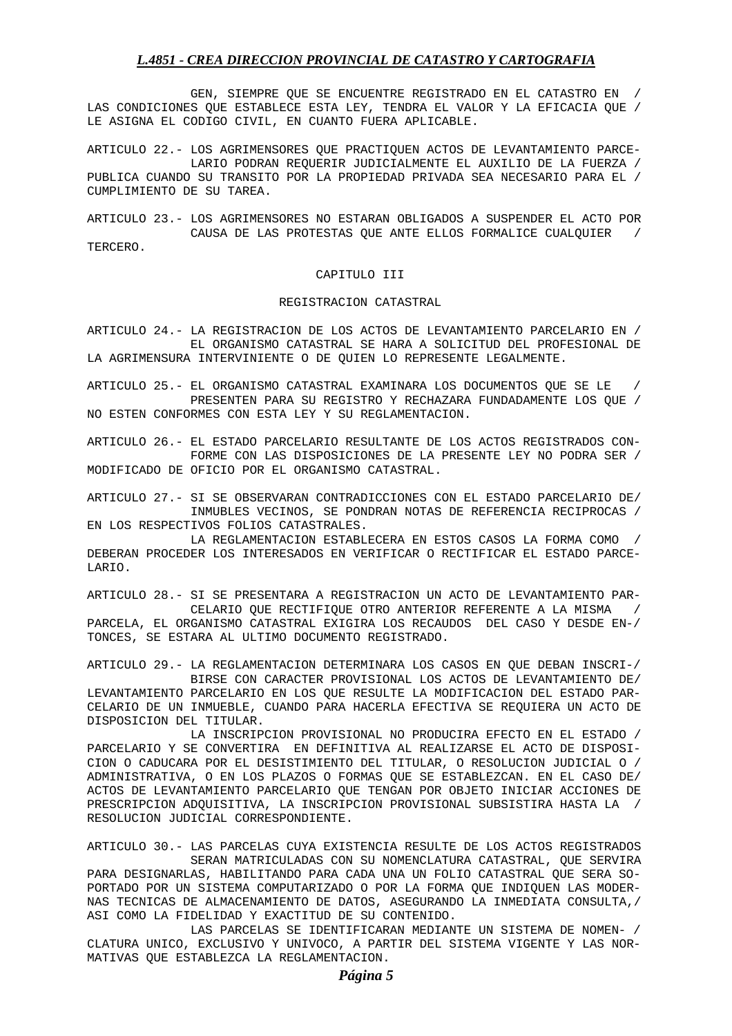GEN, SIEMPRE QUE SE ENCUENTRE REGISTRADO EN EL CATASTRO EN / LAS CONDICIONES QUE ESTABLECE ESTA LEY, TENDRA EL VALOR Y LA EFICACIA QUE / LE ASIGNA EL CODIGO CIVIL, EN CUANTO FUERA APLICABLE.

ARTICULO 22.- LOS AGRIMENSORES QUE PRACTIQUEN ACTOS DE LEVANTAMIENTO PARCE- LARIO PODRAN REQUERIR JUDICIALMENTE EL AUXILIO DE LA FUERZA / PUBLICA CUANDO SU TRANSITO POR LA PROPIEDAD PRIVADA SEA NECESARIO PARA EL / CUMPLIMIENTO DE SU TAREA.

ARTICULO 23.- LOS AGRIMENSORES NO ESTARAN OBLIGADOS A SUSPENDER EL ACTO POR CAUSA DE LAS PROTESTAS QUE ANTE ELLOS FORMALICE CUALQUIER / TERCERO.

## CAPITULO III

#### REGISTRACION CATASTRAL

ARTICULO 24.- LA REGISTRACION DE LOS ACTOS DE LEVANTAMIENTO PARCELARIO EN / EL ORGANISMO CATASTRAL SE HARA A SOLICITUD DEL PROFESIONAL DE LA AGRIMENSURA INTERVINIENTE O DE QUIEN LO REPRESENTE LEGALMENTE.

ARTICULO 25.- EL ORGANISMO CATASTRAL EXAMINARA LOS DOCUMENTOS QUE SE LE / PRESENTEN PARA SU REGISTRO Y RECHAZARA FUNDADAMENTE LOS QUE / NO ESTEN CONFORMES CON ESTA LEY Y SU REGLAMENTACION.

ARTICULO 26.- EL ESTADO PARCELARIO RESULTANTE DE LOS ACTOS REGISTRADOS CON- FORME CON LAS DISPOSICIONES DE LA PRESENTE LEY NO PODRA SER / MODIFICADO DE OFICIO POR EL ORGANISMO CATASTRAL.

ARTICULO 27.- SI SE OBSERVARAN CONTRADICCIONES CON EL ESTADO PARCELARIO DE/ INMUBLES VECINOS, SE PONDRAN NOTAS DE REFERENCIA RECIPROCAS / EN LOS RESPECTIVOS FOLIOS CATASTRALES.

 LA REGLAMENTACION ESTABLECERA EN ESTOS CASOS LA FORMA COMO / DEBERAN PROCEDER LOS INTERESADOS EN VERIFICAR O RECTIFICAR EL ESTADO PARCE-LARIO.

ARTICULO 28.- SI SE PRESENTARA A REGISTRACION UN ACTO DE LEVANTAMIENTO PAR- CELARIO QUE RECTIFIQUE OTRO ANTERIOR REFERENTE A LA MISMA / PARCELA, EL ORGANISMO CATASTRAL EXIGIRA LOS RECAUDOS DEL CASO Y DESDE EN-/ TONCES, SE ESTARA AL ULTIMO DOCUMENTO REGISTRADO.

ARTICULO 29.- LA REGLAMENTACION DETERMINARA LOS CASOS EN QUE DEBAN INSCRI-/ BIRSE CON CARACTER PROVISIONAL LOS ACTOS DE LEVANTAMIENTO DE/ LEVANTAMIENTO PARCELARIO EN LOS QUE RESULTE LA MODIFICACION DEL ESTADO PAR-CELARIO DE UN INMUEBLE, CUANDO PARA HACERLA EFECTIVA SE REQUIERA UN ACTO DE DISPOSICION DEL TITULAR.

 LA INSCRIPCION PROVISIONAL NO PRODUCIRA EFECTO EN EL ESTADO / PARCELARIO Y SE CONVERTIRA EN DEFINITIVA AL REALIZARSE EL ACTO DE DISPOSI-CION O CADUCARA POR EL DESISTIMIENTO DEL TITULAR, O RESOLUCION JUDICIAL O / ADMINISTRATIVA, O EN LOS PLAZOS O FORMAS QUE SE ESTABLEZCAN. EN EL CASO DE/ ACTOS DE LEVANTAMIENTO PARCELARIO QUE TENGAN POR OBJETO INICIAR ACCIONES DE PRESCRIPCION ADQUISITIVA, LA INSCRIPCION PROVISIONAL SUBSISTIRA HASTA LA / RESOLUCION JUDICIAL CORRESPONDIENTE.

ARTICULO 30.- LAS PARCELAS CUYA EXISTENCIA RESULTE DE LOS ACTOS REGISTRADOS SERAN MATRICULADAS CON SU NOMENCLATURA CATASTRAL, QUE SERVIRA PARA DESIGNARLAS, HABILITANDO PARA CADA UNA UN FOLIO CATASTRAL QUE SERA SO-PORTADO POR UN SISTEMA COMPUTARIZADO O POR LA FORMA QUE INDIQUEN LAS MODER-NAS TECNICAS DE ALMACENAMIENTO DE DATOS, ASEGURANDO LA INMEDIATA CONSULTA,/ ASI COMO LA FIDELIDAD Y EXACTITUD DE SU CONTENIDO.

 LAS PARCELAS SE IDENTIFICARAN MEDIANTE UN SISTEMA DE NOMEN- / CLATURA UNICO, EXCLUSIVO Y UNIVOCO, A PARTIR DEL SISTEMA VIGENTE Y LAS NOR-MATIVAS QUE ESTABLEZCA LA REGLAMENTACION.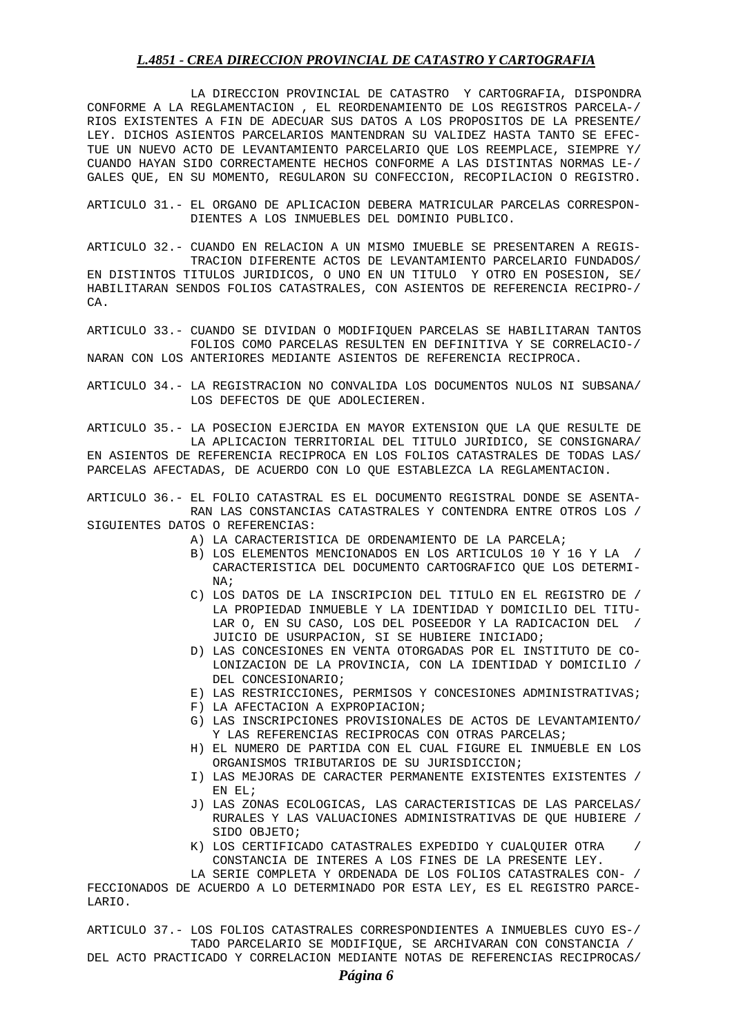LA DIRECCION PROVINCIAL DE CATASTRO Y CARTOGRAFIA, DISPONDRA CONFORME A LA REGLAMENTACION , EL REORDENAMIENTO DE LOS REGISTROS PARCELA-/ RIOS EXISTENTES A FIN DE ADECUAR SUS DATOS A LOS PROPOSITOS DE LA PRESENTE/ LEY. DICHOS ASIENTOS PARCELARIOS MANTENDRAN SU VALIDEZ HASTA TANTO SE EFEC-TUE UN NUEVO ACTO DE LEVANTAMIENTO PARCELARIO QUE LOS REEMPLACE, SIEMPRE Y/ CUANDO HAYAN SIDO CORRECTAMENTE HECHOS CONFORME A LAS DISTINTAS NORMAS LE-/ GALES QUE, EN SU MOMENTO, REGULARON SU CONFECCION, RECOPILACION O REGISTRO.

ARTICULO 31.- EL ORGANO DE APLICACION DEBERA MATRICULAR PARCELAS CORRESPON- DIENTES A LOS INMUEBLES DEL DOMINIO PUBLICO.

ARTICULO 32.- CUANDO EN RELACION A UN MISMO IMUEBLE SE PRESENTAREN A REGIS- TRACION DIFERENTE ACTOS DE LEVANTAMIENTO PARCELARIO FUNDADOS/ EN DISTINTOS TITULOS JURIDICOS, O UNO EN UN TITULO Y OTRO EN POSESION, SE/ HABILITARAN SENDOS FOLIOS CATASTRALES, CON ASIENTOS DE REFERENCIA RECIPRO-/ CA.

ARTICULO 33.- CUANDO SE DIVIDAN O MODIFIQUEN PARCELAS SE HABILITARAN TANTOS FOLIOS COMO PARCELAS RESULTEN EN DEFINITIVA Y SE CORRELACIO-/ NARAN CON LOS ANTERIORES MEDIANTE ASIENTOS DE REFERENCIA RECIPROCA.

ARTICULO 34.- LA REGISTRACION NO CONVALIDA LOS DOCUMENTOS NULOS NI SUBSANA/ LOS DEFECTOS DE QUE ADOLECIEREN.

ARTICULO 35.- LA POSECION EJERCIDA EN MAYOR EXTENSION QUE LA QUE RESULTE DE LA APLICACION TERRITORIAL DEL TITULO JURIDICO, SE CONSIGNARA/ EN ASIENTOS DE REFERENCIA RECIPROCA EN LOS FOLIOS CATASTRALES DE TODAS LAS/ PARCELAS AFECTADAS, DE ACUERDO CON LO QUE ESTABLEZCA LA REGLAMENTACION.

ARTICULO 36.- EL FOLIO CATASTRAL ES EL DOCUMENTO REGISTRAL DONDE SE ASENTA- RAN LAS CONSTANCIAS CATASTRALES Y CONTENDRA ENTRE OTROS LOS / SIGUIENTES DATOS O REFERENCIAS:

- A) LA CARACTERISTICA DE ORDENAMIENTO DE LA PARCELA;
- B) LOS ELEMENTOS MENCIONADOS EN LOS ARTICULOS 10 Y 16 Y LA / CARACTERISTICA DEL DOCUMENTO CARTOGRAFICO QUE LOS DETERMI- NA;
- C) LOS DATOS DE LA INSCRIPCION DEL TITULO EN EL REGISTRO DE / LA PROPIEDAD INMUEBLE Y LA IDENTIDAD Y DOMICILIO DEL TITU- LAR O, EN SU CASO, LOS DEL POSEEDOR Y LA RADICACION DEL / JUICIO DE USURPACION, SI SE HUBIERE INICIADO;
- D) LAS CONCESIONES EN VENTA OTORGADAS POR EL INSTITUTO DE CO- LONIZACION DE LA PROVINCIA, CON LA IDENTIDAD Y DOMICILIO / DEL CONCESIONARIO;
- E) LAS RESTRICCIONES, PERMISOS Y CONCESIONES ADMINISTRATIVAS;
- F) LA AFECTACION A EXPROPIACION;
- G) LAS INSCRIPCIONES PROVISIONALES DE ACTOS DE LEVANTAMIENTO/ Y LAS REFERENCIAS RECIPROCAS CON OTRAS PARCELAS;
- H) EL NUMERO DE PARTIDA CON EL CUAL FIGURE EL INMUEBLE EN LOS ORGANISMOS TRIBUTARIOS DE SU JURISDICCION;
- I) LAS MEJORAS DE CARACTER PERMANENTE EXISTENTES EXISTENTES / EN EL;
- J) LAS ZONAS ECOLOGICAS, LAS CARACTERISTICAS DE LAS PARCELAS/ RURALES Y LAS VALUACIONES ADMINISTRATIVAS DE QUE HUBIERE / SIDO OBJETO;
- K) LOS CERTIFICADO CATASTRALES EXPEDIDO Y CUALQUIER OTRA CONSTANCIA DE INTERES A LOS FINES DE LA PRESENTE LEY.

 LA SERIE COMPLETA Y ORDENADA DE LOS FOLIOS CATASTRALES CON- / FECCIONADOS DE ACUERDO A LO DETERMINADO POR ESTA LEY, ES EL REGISTRO PARCE-LARIO.

ARTICULO 37.- LOS FOLIOS CATASTRALES CORRESPONDIENTES A INMUEBLES CUYO ES-/ TADO PARCELARIO SE MODIFIQUE, SE ARCHIVARAN CON CONSTANCIA /

DEL ACTO PRACTICADO Y CORRELACION MEDIANTE NOTAS DE REFERENCIAS RECIPROCAS/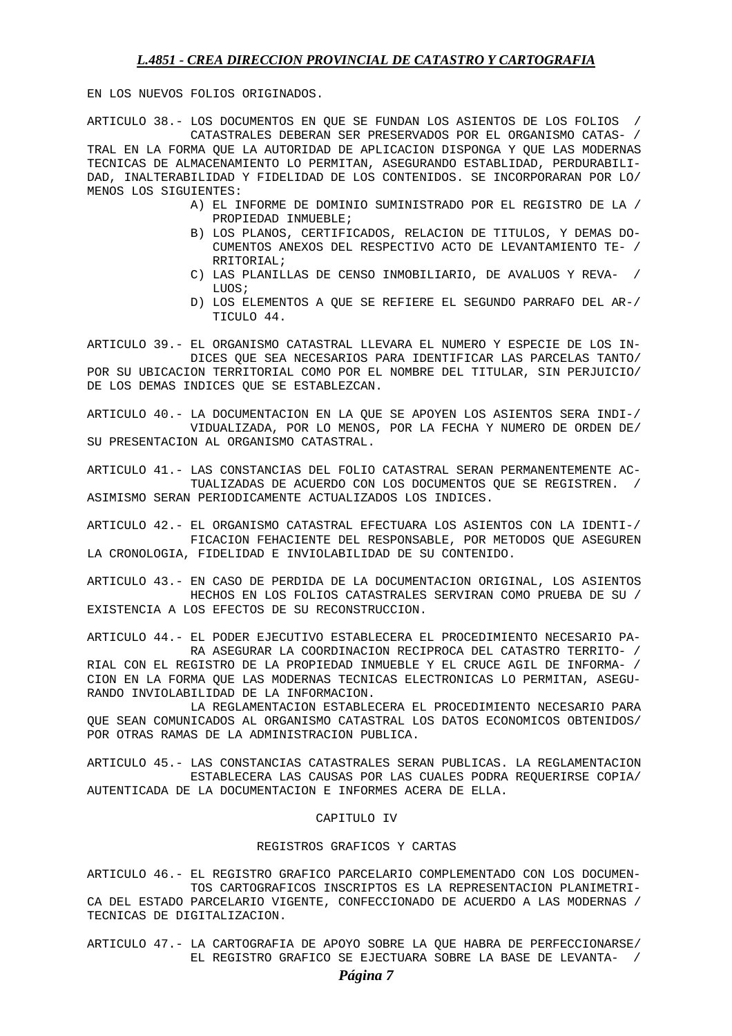EN LOS NUEVOS FOLIOS ORIGINADOS.

ARTICULO 38.- LOS DOCUMENTOS EN QUE SE FUNDAN LOS ASIENTOS DE LOS FOLIOS / CATASTRALES DEBERAN SER PRESERVADOS POR EL ORGANISMO CATAS- / TRAL EN LA FORMA QUE LA AUTORIDAD DE APLICACION DISPONGA Y QUE LAS MODERNAS TECNICAS DE ALMACENAMIENTO LO PERMITAN, ASEGURANDO ESTABLIDAD, PERDURABILI-DAD, INALTERABILIDAD Y FIDELIDAD DE LOS CONTENIDOS. SE INCORPORARAN POR LO/ MENOS LOS SIGUIENTES:

- A) EL INFORME DE DOMINIO SUMINISTRADO POR EL REGISTRO DE LA / PROPIEDAD INMUEBLE;
- B) LOS PLANOS, CERTIFICADOS, RELACION DE TITULOS, Y DEMAS DO- CUMENTOS ANEXOS DEL RESPECTIVO ACTO DE LEVANTAMIENTO TE- / RRITORIAL;
- C) LAS PLANILLAS DE CENSO INMOBILIARIO, DE AVALUOS Y REVA- / LUOS;
- D) LOS ELEMENTOS A QUE SE REFIERE EL SEGUNDO PARRAFO DEL AR-/ TICULO 44.

ARTICULO 39.- EL ORGANISMO CATASTRAL LLEVARA EL NUMERO Y ESPECIE DE LOS IN- DICES QUE SEA NECESARIOS PARA IDENTIFICAR LAS PARCELAS TANTO/ POR SU UBICACION TERRITORIAL COMO POR EL NOMBRE DEL TITULAR, SIN PERJUICIO/ DE LOS DEMAS INDICES QUE SE ESTABLEZCAN.

ARTICULO 40.- LA DOCUMENTACION EN LA QUE SE APOYEN LOS ASIENTOS SERA INDI-/ VIDUALIZADA, POR LO MENOS, POR LA FECHA Y NUMERO DE ORDEN DE/ SU PRESENTACION AL ORGANISMO CATASTRAL.

ARTICULO 41.- LAS CONSTANCIAS DEL FOLIO CATASTRAL SERAN PERMANENTEMENTE AC- TUALIZADAS DE ACUERDO CON LOS DOCUMENTOS QUE SE REGISTREN. / ASIMISMO SERAN PERIODICAMENTE ACTUALIZADOS LOS INDICES.

ARTICULO 42.- EL ORGANISMO CATASTRAL EFECTUARA LOS ASIENTOS CON LA IDENTI-/ FICACION FEHACIENTE DEL RESPONSABLE, POR METODOS QUE ASEGUREN LA CRONOLOGIA, FIDELIDAD E INVIOLABILIDAD DE SU CONTENIDO.

ARTICULO 43.- EN CASO DE PERDIDA DE LA DOCUMENTACION ORIGINAL, LOS ASIENTOS HECHOS EN LOS FOLIOS CATASTRALES SERVIRAN COMO PRUEBA DE SU / EXISTENCIA A LOS EFECTOS DE SU RECONSTRUCCION.

ARTICULO 44.- EL PODER EJECUTIVO ESTABLECERA EL PROCEDIMIENTO NECESARIO PA- RA ASEGURAR LA COORDINACION RECIPROCA DEL CATASTRO TERRITO- / RIAL CON EL REGISTRO DE LA PROPIEDAD INMUEBLE Y EL CRUCE AGIL DE INFORMA- / CION EN LA FORMA QUE LAS MODERNAS TECNICAS ELECTRONICAS LO PERMITAN, ASEGU-RANDO INVIOLABILIDAD DE LA INFORMACION.

 LA REGLAMENTACION ESTABLECERA EL PROCEDIMIENTO NECESARIO PARA QUE SEAN COMUNICADOS AL ORGANISMO CATASTRAL LOS DATOS ECONOMICOS OBTENIDOS/ POR OTRAS RAMAS DE LA ADMINISTRACION PUBLICA.

ARTICULO 45.- LAS CONSTANCIAS CATASTRALES SERAN PUBLICAS. LA REGLAMENTACION ESTABLECERA LAS CAUSAS POR LAS CUALES PODRA REQUERIRSE COPIA/ AUTENTICADA DE LA DOCUMENTACION E INFORMES ACERA DE ELLA.

### CAPITULO IV

### REGISTROS GRAFICOS Y CARTAS

ARTICULO 46.- EL REGISTRO GRAFICO PARCELARIO COMPLEMENTADO CON LOS DOCUMEN- TOS CARTOGRAFICOS INSCRIPTOS ES LA REPRESENTACION PLANIMETRI-CA DEL ESTADO PARCELARIO VIGENTE, CONFECCIONADO DE ACUERDO A LAS MODERNAS / TECNICAS DE DIGITALIZACION.

ARTICULO 47.- LA CARTOGRAFIA DE APOYO SOBRE LA QUE HABRA DE PERFECCIONARSE/ EL REGISTRO GRAFICO SE EJECTUARA SOBRE LA BASE DE LEVANTA- /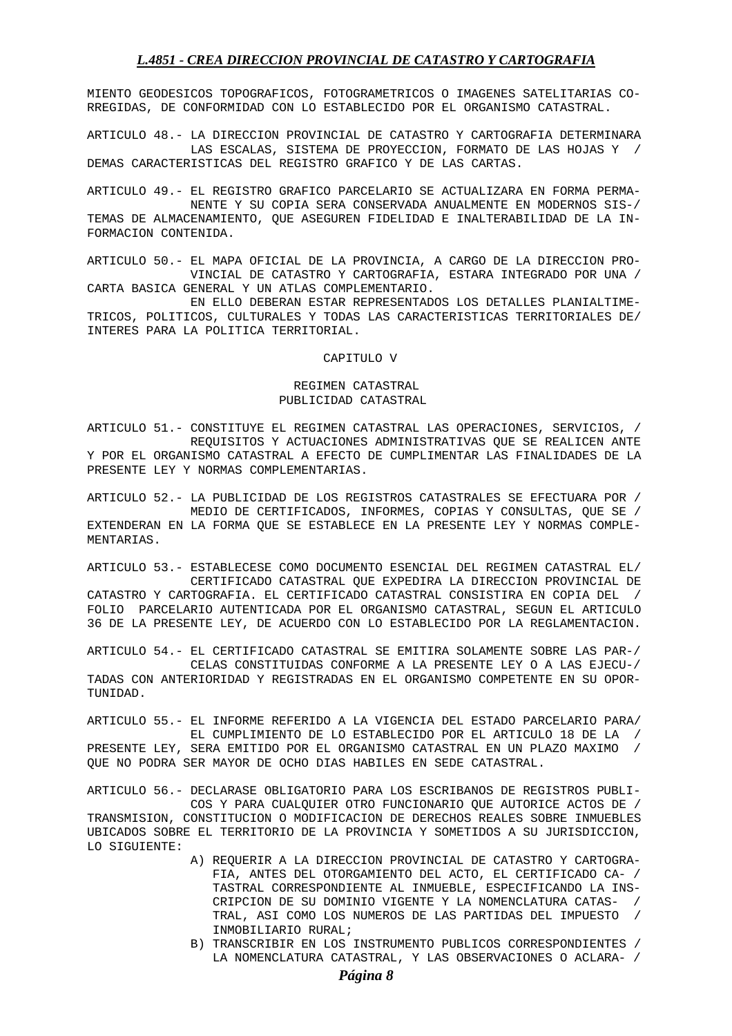MIENTO GEODESICOS TOPOGRAFICOS, FOTOGRAMETRICOS O IMAGENES SATELITARIAS CO-RREGIDAS, DE CONFORMIDAD CON LO ESTABLECIDO POR EL ORGANISMO CATASTRAL.

ARTICULO 48.- LA DIRECCION PROVINCIAL DE CATASTRO Y CARTOGRAFIA DETERMINARA LAS ESCALAS, SISTEMA DE PROYECCION, FORMATO DE LAS HOJAS Y / DEMAS CARACTERISTICAS DEL REGISTRO GRAFICO Y DE LAS CARTAS.

ARTICULO 49.- EL REGISTRO GRAFICO PARCELARIO SE ACTUALIZARA EN FORMA PERMA- NENTE Y SU COPIA SERA CONSERVADA ANUALMENTE EN MODERNOS SIS-/ TEMAS DE ALMACENAMIENTO, QUE ASEGUREN FIDELIDAD E INALTERABILIDAD DE LA IN-FORMACION CONTENIDA.

ARTICULO 50.- EL MAPA OFICIAL DE LA PROVINCIA, A CARGO DE LA DIRECCION PRO- VINCIAL DE CATASTRO Y CARTOGRAFIA, ESTARA INTEGRADO POR UNA / CARTA BASICA GENERAL Y UN ATLAS COMPLEMENTARIO.

 EN ELLO DEBERAN ESTAR REPRESENTADOS LOS DETALLES PLANIALTIME-TRICOS, POLITICOS, CULTURALES Y TODAS LAS CARACTERISTICAS TERRITORIALES DE/ INTERES PARA LA POLITICA TERRITORIAL.

### CAPITULO V

### REGIMEN CATASTRAL PUBLICIDAD CATASTRAL

ARTICULO 51.- CONSTITUYE EL REGIMEN CATASTRAL LAS OPERACIONES, SERVICIOS, / REQUISITOS Y ACTUACIONES ADMINISTRATIVAS QUE SE REALICEN ANTE Y POR EL ORGANISMO CATASTRAL A EFECTO DE CUMPLIMENTAR LAS FINALIDADES DE LA PRESENTE LEY Y NORMAS COMPLEMENTARIAS.

ARTICULO 52.- LA PUBLICIDAD DE LOS REGISTROS CATASTRALES SE EFECTUARA POR / MEDIO DE CERTIFICADOS, INFORMES, COPIAS Y CONSULTAS, QUE SE / EXTENDERAN EN LA FORMA QUE SE ESTABLECE EN LA PRESENTE LEY Y NORMAS COMPLE-MENTARIAS.

ARTICULO 53.- ESTABLECESE COMO DOCUMENTO ESENCIAL DEL REGIMEN CATASTRAL EL/ CERTIFICADO CATASTRAL QUE EXPEDIRA LA DIRECCION PROVINCIAL DE CATASTRO Y CARTOGRAFIA. EL CERTIFICADO CATASTRAL CONSISTIRA EN COPIA DEL / FOLIO PARCELARIO AUTENTICADA POR EL ORGANISMO CATASTRAL, SEGUN EL ARTICULO 36 DE LA PRESENTE LEY, DE ACUERDO CON LO ESTABLECIDO POR LA REGLAMENTACION.

ARTICULO 54.- EL CERTIFICADO CATASTRAL SE EMITIRA SOLAMENTE SOBRE LAS PAR-/ CELAS CONSTITUIDAS CONFORME A LA PRESENTE LEY O A LAS EJECU-/ TADAS CON ANTERIORIDAD Y REGISTRADAS EN EL ORGANISMO COMPETENTE EN SU OPOR-TUNIDAD.

ARTICULO 55.- EL INFORME REFERIDO A LA VIGENCIA DEL ESTADO PARCELARIO PARA/ EL CUMPLIMIENTO DE LO ESTABLECIDO POR EL ARTICULO 18 DE LA / PRESENTE LEY, SERA EMITIDO POR EL ORGANISMO CATASTRAL EN UN PLAZO MAXIMO / QUE NO PODRA SER MAYOR DE OCHO DIAS HABILES EN SEDE CATASTRAL.

ARTICULO 56.- DECLARASE OBLIGATORIO PARA LOS ESCRIBANOS DE REGISTROS PUBLI- COS Y PARA CUALQUIER OTRO FUNCIONARIO QUE AUTORICE ACTOS DE / TRANSMISION, CONSTITUCION O MODIFICACION DE DERECHOS REALES SOBRE INMUEBLES UBICADOS SOBRE EL TERRITORIO DE LA PROVINCIA Y SOMETIDOS A SU JURISDICCION, LO SIGUIENTE:

- A) REQUERIR A LA DIRECCION PROVINCIAL DE CATASTRO Y CARTOGRA- FIA, ANTES DEL OTORGAMIENTO DEL ACTO, EL CERTIFICADO CA- / TASTRAL CORRESPONDIENTE AL INMUEBLE, ESPECIFICANDO LA INS- CRIPCION DE SU DOMINIO VIGENTE Y LA NOMENCLATURA CATAS- / TRAL, ASI COMO LOS NUMEROS DE LAS PARTIDAS DEL IMPUESTO / INMOBILIARIO RURAL;
- B) TRANSCRIBIR EN LOS INSTRUMENTO PUBLICOS CORRESPONDIENTES / LA NOMENCLATURA CATASTRAL, Y LAS OBSERVACIONES O ACLARA- /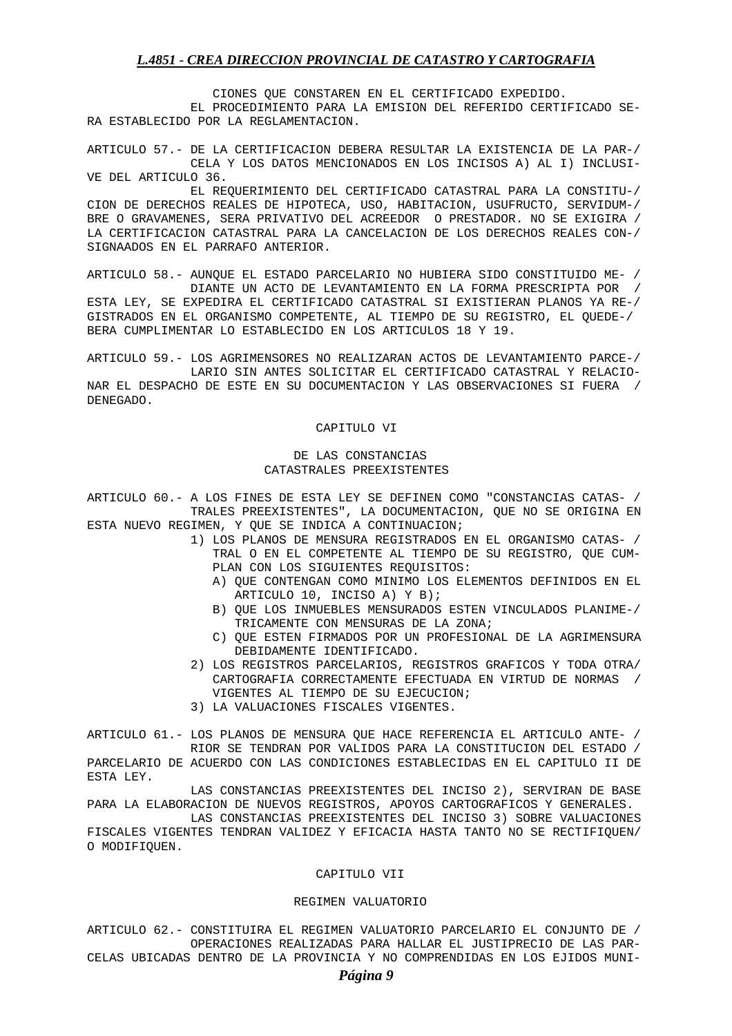CIONES QUE CONSTAREN EN EL CERTIFICADO EXPEDIDO. EL PROCEDIMIENTO PARA LA EMISION DEL REFERIDO CERTIFICADO SE-RA ESTABLECIDO POR LA REGLAMENTACION.

ARTICULO 57.- DE LA CERTIFICACION DEBERA RESULTAR LA EXISTENCIA DE LA PAR-/ CELA Y LOS DATOS MENCIONADOS EN LOS INCISOS A) AL I) INCLUSI-VE DEL ARTICULO 36.

 EL REQUERIMIENTO DEL CERTIFICADO CATASTRAL PARA LA CONSTITU-/ CION DE DERECHOS REALES DE HIPOTECA, USO, HABITACION, USUFRUCTO, SERVIDUM-/ BRE O GRAVAMENES, SERA PRIVATIVO DEL ACREEDOR O PRESTADOR. NO SE EXIGIRA / LA CERTIFICACION CATASTRAL PARA LA CANCELACION DE LOS DERECHOS REALES CON-/ SIGNAADOS EN EL PARRAFO ANTERIOR.

ARTICULO 58.- AUNQUE EL ESTADO PARCELARIO NO HUBIERA SIDO CONSTITUIDO ME- / DIANTE UN ACTO DE LEVANTAMIENTO EN LA FORMA PRESCRIPTA POR / ESTA LEY, SE EXPEDIRA EL CERTIFICADO CATASTRAL SI EXISTIERAN PLANOS YA RE-/ GISTRADOS EN EL ORGANISMO COMPETENTE, AL TIEMPO DE SU REGISTRO, EL QUEDE-/ BERA CUMPLIMENTAR LO ESTABLECIDO EN LOS ARTICULOS 18 Y 19.

ARTICULO 59.- LOS AGRIMENSORES NO REALIZARAN ACTOS DE LEVANTAMIENTO PARCE-/ LARIO SIN ANTES SOLICITAR EL CERTIFICADO CATASTRAL Y RELACIO-NAR EL DESPACHO DE ESTE EN SU DOCUMENTACION Y LAS OBSERVACIONES SI FUERA / DENEGADO.

#### CAPITULO VI

## DE LAS CONSTANCIAS CATASTRALES PREEXISTENTES

ARTICULO 60.- A LOS FINES DE ESTA LEY SE DEFINEN COMO "CONSTANCIAS CATAS- / TRALES PREEXISTENTES", LA DOCUMENTACION, QUE NO SE ORIGINA EN ESTA NUEVO REGIMEN, Y QUE SE INDICA A CONTINUACION;

- 1) LOS PLANOS DE MENSURA REGISTRADOS EN EL ORGANISMO CATAS- / TRAL O EN EL COMPETENTE AL TIEMPO DE SU REGISTRO, QUE CUM-PLAN CON LOS SIGUIENTES REQUISITOS:
	- A) QUE CONTENGAN COMO MINIMO LOS ELEMENTOS DEFINIDOS EN EL ARTICULO 10, INCISO A) Y B);
	- B) QUE LOS INMUEBLES MENSURADOS ESTEN VINCULADOS PLANIME-/ TRICAMENTE CON MENSURAS DE LA ZONA;
	- C) QUE ESTEN FIRMADOS POR UN PROFESIONAL DE LA AGRIMENSURA DEBIDAMENTE IDENTIFICADO.
- 2) LOS REGISTROS PARCELARIOS, REGISTROS GRAFICOS Y TODA OTRA/ CARTOGRAFIA CORRECTAMENTE EFECTUADA EN VIRTUD DE NORMAS / VIGENTES AL TIEMPO DE SU EJECUCION;
- 3) LA VALUACIONES FISCALES VIGENTES.

ESTA LEY.

ARTICULO 61.- LOS PLANOS DE MENSURA QUE HACE REFERENCIA EL ARTICULO ANTE- / RIOR SE TENDRAN POR VALIDOS PARA LA CONSTITUCION DEL ESTADO / PARCELARIO DE ACUERDO CON LAS CONDICIONES ESTABLECIDAS EN EL CAPITULO II DE

 LAS CONSTANCIAS PREEXISTENTES DEL INCISO 2), SERVIRAN DE BASE PARA LA ELABORACION DE NUEVOS REGISTROS, APOYOS CARTOGRAFICOS Y GENERALES.

 LAS CONSTANCIAS PREEXISTENTES DEL INCISO 3) SOBRE VALUACIONES FISCALES VIGENTES TENDRAN VALIDEZ Y EFICACIA HASTA TANTO NO SE RECTIFIQUEN/ O MODIFIQUEN.

#### CAPITULO VII

#### REGIMEN VALUATORIO

ARTICULO 62.- CONSTITUIRA EL REGIMEN VALUATORIO PARCELARIO EL CONJUNTO DE / OPERACIONES REALIZADAS PARA HALLAR EL JUSTIPRECIO DE LAS PAR-CELAS UBICADAS DENTRO DE LA PROVINCIA Y NO COMPRENDIDAS EN LOS EJIDOS MUNI-

## *Página 9*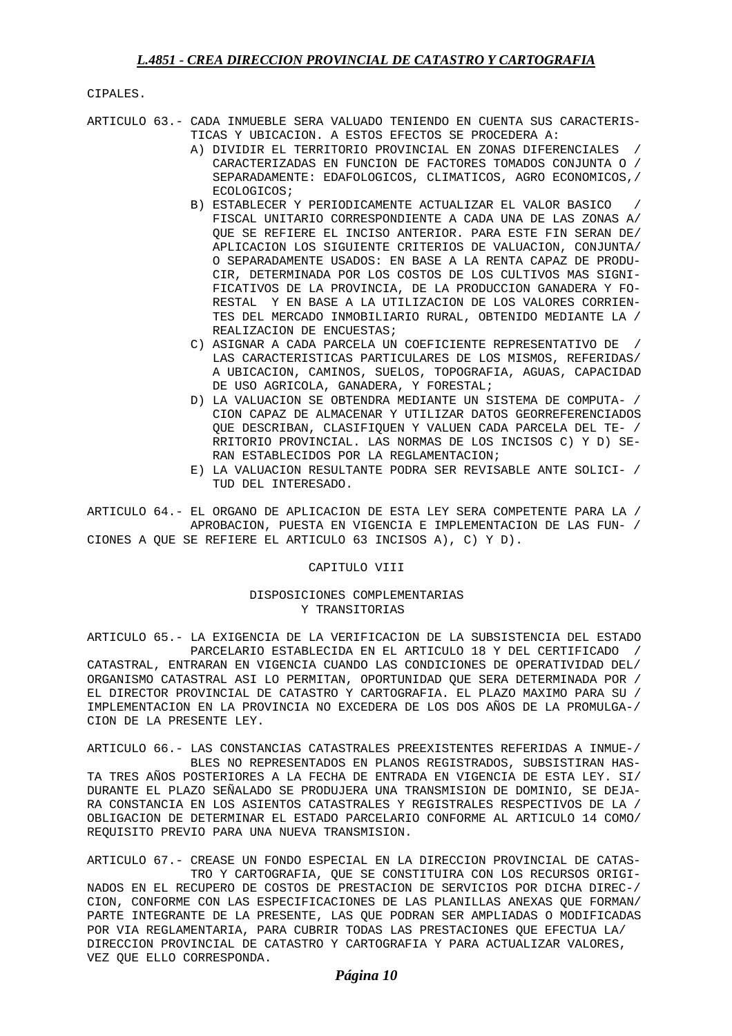CIPALES.

ARTICULO 63.- CADA INMUEBLE SERA VALUADO TENIENDO EN CUENTA SUS CARACTERIS- TICAS Y UBICACION. A ESTOS EFECTOS SE PROCEDERA A:

- A) DIVIDIR EL TERRITORIO PROVINCIAL EN ZONAS DIFERENCIALES / CARACTERIZADAS EN FUNCION DE FACTORES TOMADOS CONJUNTA O / SEPARADAMENTE: EDAFOLOGICOS, CLIMATICOS, AGRO ECONOMICOS,/ ECOLOGICOS;
- B) ESTABLECER Y PERIODICAMENTE ACTUALIZAR EL VALOR BASICO FISCAL UNITARIO CORRESPONDIENTE A CADA UNA DE LAS ZONAS A/ QUE SE REFIERE EL INCISO ANTERIOR. PARA ESTE FIN SERAN DE/ APLICACION LOS SIGUIENTE CRITERIOS DE VALUACION, CONJUNTA/ O SEPARADAMENTE USADOS: EN BASE A LA RENTA CAPAZ DE PRODU-CIR, DETERMINADA POR LOS COSTOS DE LOS CULTIVOS MAS SIGNI- FICATIVOS DE LA PROVINCIA, DE LA PRODUCCION GANADERA Y FO-RESTAL Y EN BASE A LA UTILIZACION DE LOS VALORES CORRIEN-TES DEL MERCADO INMOBILIARIO RURAL, OBTENIDO MEDIANTE LA / REALIZACION DE ENCUESTAS;
- C) ASIGNAR A CADA PARCELA UN COEFICIENTE REPRESENTATIVO DE LAS CARACTERISTICAS PARTICULARES DE LOS MISMOS, REFERIDAS/ A UBICACION, CAMINOS, SUELOS, TOPOGRAFIA, AGUAS, CAPACIDAD DE USO AGRICOLA, GANADERA, Y FORESTAL;
- D) LA VALUACION SE OBTENDRA MEDIANTE UN SISTEMA DE COMPUTA- / CION CAPAZ DE ALMACENAR Y UTILIZAR DATOS GEORREFERENCIADOS QUE DESCRIBAN, CLASIFIQUEN Y VALUEN CADA PARCELA DEL TE- / RRITORIO PROVINCIAL. LAS NORMAS DE LOS INCISOS C) Y D) SE-RAN ESTABLECIDOS POR LA REGLAMENTACION;
- E) LA VALUACION RESULTANTE PODRA SER REVISABLE ANTE SOLICI- / TUD DEL INTERESADO.

ARTICULO 64.- EL ORGANO DE APLICACION DE ESTA LEY SERA COMPETENTE PARA LA / APROBACION, PUESTA EN VIGENCIA E IMPLEMENTACION DE LAS FUN- / CIONES A QUE SE REFIERE EL ARTICULO 63 INCISOS A), C) Y D).

## CAPITULO VIII

## DISPOSICIONES COMPLEMENTARIAS Y TRANSITORIAS

ARTICULO 65.- LA EXIGENCIA DE LA VERIFICACION DE LA SUBSISTENCIA DEL ESTADO PARCELARIO ESTABLECIDA EN EL ARTICULO 18 Y DEL CERTIFICADO / CATASTRAL, ENTRARAN EN VIGENCIA CUANDO LAS CONDICIONES DE OPERATIVIDAD DEL/ ORGANISMO CATASTRAL ASI LO PERMITAN, OPORTUNIDAD QUE SERA DETERMINADA POR / EL DIRECTOR PROVINCIAL DE CATASTRO Y CARTOGRAFIA. EL PLAZO MAXIMO PARA SU / IMPLEMENTACION EN LA PROVINCIA NO EXCEDERA DE LOS DOS AÑOS DE LA PROMULGA-/ CION DE LA PRESENTE LEY.

ARTICULO 66.- LAS CONSTANCIAS CATASTRALES PREEXISTENTES REFERIDAS A INMUE-/ BLES NO REPRESENTADOS EN PLANOS REGISTRADOS, SUBSISTIRAN HAS-TA TRES AÑOS POSTERIORES A LA FECHA DE ENTRADA EN VIGENCIA DE ESTA LEY. SI/ DURANTE EL PLAZO SEÑALADO SE PRODUJERA UNA TRANSMISION DE DOMINIO, SE DEJA-RA CONSTANCIA EN LOS ASIENTOS CATASTRALES Y REGISTRALES RESPECTIVOS DE LA / OBLIGACION DE DETERMINAR EL ESTADO PARCELARIO CONFORME AL ARTICULO 14 COMO/ REQUISITO PREVIO PARA UNA NUEVA TRANSMISION.

ARTICULO 67.- CREASE UN FONDO ESPECIAL EN LA DIRECCION PROVINCIAL DE CATAS- TRO Y CARTOGRAFIA, QUE SE CONSTITUIRA CON LOS RECURSOS ORIGI-NADOS EN EL RECUPERO DE COSTOS DE PRESTACION DE SERVICIOS POR DICHA DIREC-/ CION, CONFORME CON LAS ESPECIFICACIONES DE LAS PLANILLAS ANEXAS QUE FORMAN/ PARTE INTEGRANTE DE LA PRESENTE, LAS QUE PODRAN SER AMPLIADAS O MODIFICADAS POR VIA REGLAMENTARIA, PARA CUBRIR TODAS LAS PRESTACIONES QUE EFECTUA LA/ DIRECCION PROVINCIAL DE CATASTRO Y CARTOGRAFIA Y PARA ACTUALIZAR VALORES, VEZ QUE ELLO CORRESPONDA.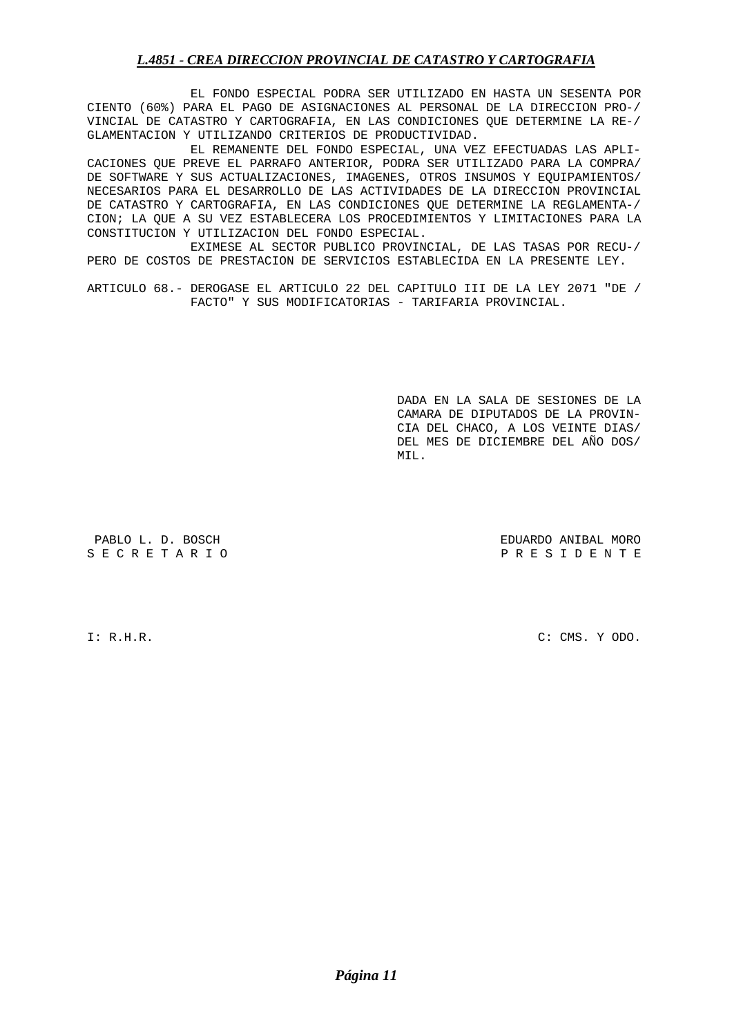EL FONDO ESPECIAL PODRA SER UTILIZADO EN HASTA UN SESENTA POR CIENTO (60%) PARA EL PAGO DE ASIGNACIONES AL PERSONAL DE LA DIRECCION PRO-/ VINCIAL DE CATASTRO Y CARTOGRAFIA, EN LAS CONDICIONES QUE DETERMINE LA RE-/ GLAMENTACION Y UTILIZANDO CRITERIOS DE PRODUCTIVIDAD.

 EL REMANENTE DEL FONDO ESPECIAL, UNA VEZ EFECTUADAS LAS APLI-CACIONES QUE PREVE EL PARRAFO ANTERIOR, PODRA SER UTILIZADO PARA LA COMPRA/ DE SOFTWARE Y SUS ACTUALIZACIONES, IMAGENES, OTROS INSUMOS Y EQUIPAMIENTOS/ NECESARIOS PARA EL DESARROLLO DE LAS ACTIVIDADES DE LA DIRECCION PROVINCIAL DE CATASTRO Y CARTOGRAFIA, EN LAS CONDICIONES QUE DETERMINE LA REGLAMENTA-/ CION; LA QUE A SU VEZ ESTABLECERA LOS PROCEDIMIENTOS Y LIMITACIONES PARA LA CONSTITUCION Y UTILIZACION DEL FONDO ESPECIAL.

 EXIMESE AL SECTOR PUBLICO PROVINCIAL, DE LAS TASAS POR RECU-/ PERO DE COSTOS DE PRESTACION DE SERVICIOS ESTABLECIDA EN LA PRESENTE LEY.

ARTICULO 68.- DEROGASE EL ARTICULO 22 DEL CAPITULO III DE LA LEY 2071 "DE / FACTO" Y SUS MODIFICATORIAS - TARIFARIA PROVINCIAL.

 DADA EN LA SALA DE SESIONES DE LA CAMARA DE DIPUTADOS DE LA PROVIN- CIA DEL CHACO, A LOS VEINTE DIAS/ DEL MES DE DICIEMBRE DEL AÑO DOS/ MIL.

PABLO L. D. BOSCH EDUARDO ANIBAL MORO P R E S I D E N T E

I: R.H.R. C: CMS. Y ODO.